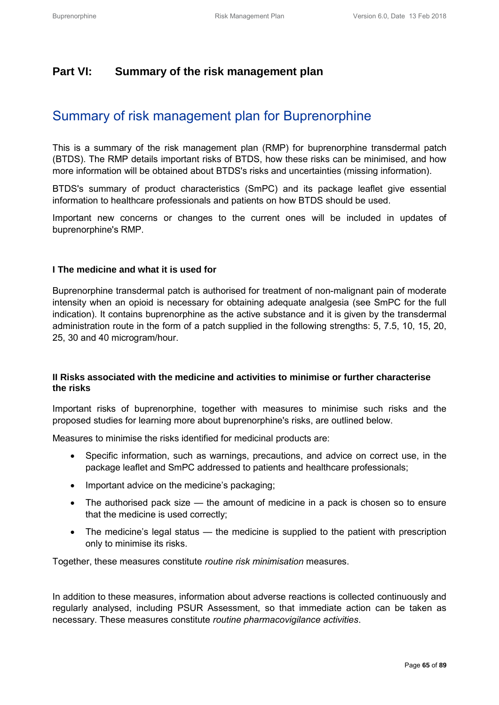# **Part VI: Summary of the risk management plan**

# Summary of risk management plan for Buprenorphine

This is a summary of the risk management plan (RMP) for buprenorphine transdermal patch (BTDS). The RMP details important risks of BTDS, how these risks can be minimised, and how more information will be obtained about BTDS's risks and uncertainties (missing information).

BTDS's summary of product characteristics (SmPC) and its package leaflet give essential information to healthcare professionals and patients on how BTDS should be used.

Important new concerns or changes to the current ones will be included in updates of buprenorphine's RMP.

#### **I The medicine and what it is used for**

Buprenorphine transdermal patch is authorised for treatment of non-malignant pain of moderate intensity when an opioid is necessary for obtaining adequate analgesia (see SmPC for the full indication). It contains buprenorphine as the active substance and it is given by the transdermal administration route in the form of a patch supplied in the following strengths: 5, 7.5, 10, 15, 20, 25, 30 and 40 microgram/hour.

## **II Risks associated with the medicine and activities to minimise or further characterise the risks**

Important risks of buprenorphine, together with measures to minimise such risks and the proposed studies for learning more about buprenorphine's risks, are outlined below.

Measures to minimise the risks identified for medicinal products are:

- Specific information, such as warnings, precautions, and advice on correct use, in the package leaflet and SmPC addressed to patients and healthcare professionals;
- Important advice on the medicine's packaging;
- The authorised pack size the amount of medicine in a pack is chosen so to ensure that the medicine is used correctly;
- The medicine's legal status the medicine is supplied to the patient with prescription only to minimise its risks.

Together, these measures constitute *routine risk minimisation* measures.

In addition to these measures, information about adverse reactions is collected continuously and regularly analysed, including PSUR Assessment, so that immediate action can be taken as necessary. These measures constitute *routine pharmacovigilance activities*.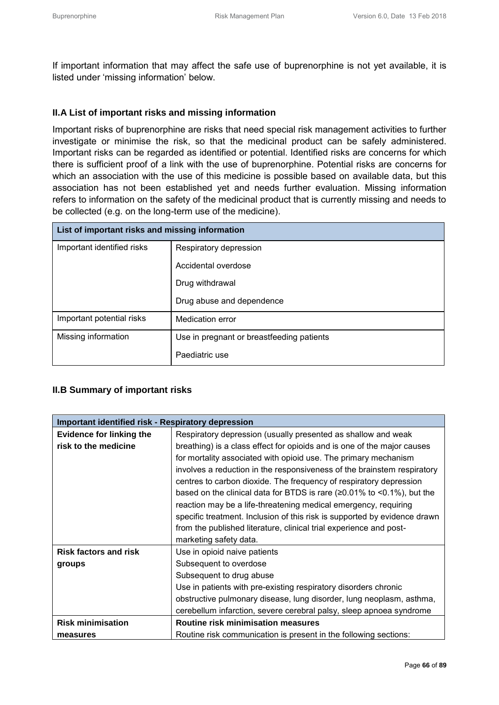If important information that may affect the safe use of buprenorphine is not yet available, it is listed under 'missing information' below.

#### **II.A List of important risks and missing information**

Important risks of buprenorphine are risks that need special risk management activities to further investigate or minimise the risk, so that the medicinal product can be safely administered. Important risks can be regarded as identified or potential. Identified risks are concerns for which there is sufficient proof of a link with the use of buprenorphine. Potential risks are concerns for which an association with the use of this medicine is possible based on available data, but this association has not been established yet and needs further evaluation. Missing information refers to information on the safety of the medicinal product that is currently missing and needs to be collected (e.g. on the long-term use of the medicine).

| List of important risks and missing information |                                           |
|-------------------------------------------------|-------------------------------------------|
| Important identified risks                      | Respiratory depression                    |
|                                                 | Accidental overdose                       |
|                                                 | Drug withdrawal                           |
|                                                 | Drug abuse and dependence                 |
| Important potential risks                       | <b>Medication error</b>                   |
| Missing information                             | Use in pregnant or breastfeeding patients |
|                                                 | Paediatric use                            |

#### **II.B Summary of important risks**

| <b>Important identified risk - Respiratory depression</b> |                                                                                      |
|-----------------------------------------------------------|--------------------------------------------------------------------------------------|
| <b>Evidence for linking the</b>                           | Respiratory depression (usually presented as shallow and weak                        |
| risk to the medicine                                      | breathing) is a class effect for opioids and is one of the major causes              |
|                                                           | for mortality associated with opioid use. The primary mechanism                      |
|                                                           | involves a reduction in the responsiveness of the brainstem respiratory              |
|                                                           | centres to carbon dioxide. The frequency of respiratory depression                   |
|                                                           | based on the clinical data for BTDS is rare $(20.01\% \text{ to } 50.1\%)$ , but the |
|                                                           | reaction may be a life-threatening medical emergency, requiring                      |
|                                                           | specific treatment. Inclusion of this risk is supported by evidence drawn            |
|                                                           | from the published literature, clinical trial experience and post-                   |
|                                                           | marketing safety data.                                                               |
| <b>Risk factors and risk</b>                              | Use in opioid naive patients                                                         |
| groups                                                    | Subsequent to overdose                                                               |
|                                                           | Subsequent to drug abuse                                                             |
|                                                           | Use in patients with pre-existing respiratory disorders chronic                      |
|                                                           | obstructive pulmonary disease, lung disorder, lung neoplasm, asthma,                 |
|                                                           | cerebellum infarction, severe cerebral palsy, sleep apnoea syndrome                  |
| <b>Risk minimisation</b>                                  | Routine risk minimisation measures                                                   |
| measures                                                  | Routine risk communication is present in the following sections:                     |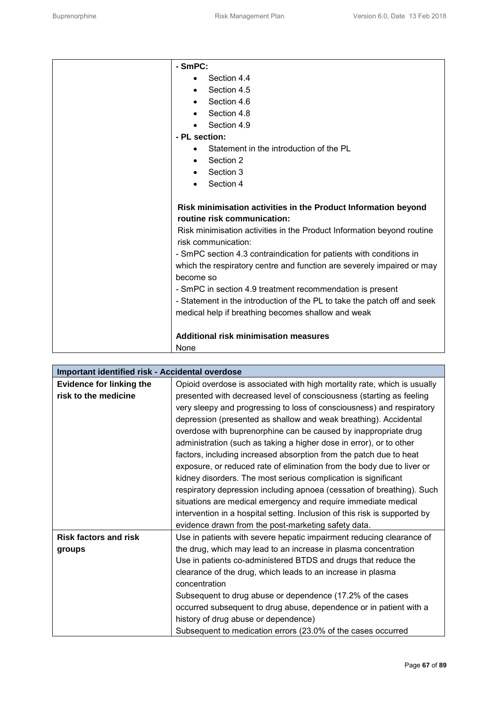| - SmPC:   |                                                                          |
|-----------|--------------------------------------------------------------------------|
|           | Section 4.4                                                              |
| $\bullet$ | Section 4.5                                                              |
| $\bullet$ | Section 4.6                                                              |
|           | Section 4.8                                                              |
|           | Section 4.9                                                              |
|           | - PL section:                                                            |
|           | Statement in the introduction of the PL                                  |
| $\bullet$ | Section 2                                                                |
| $\bullet$ | Section 3                                                                |
|           | Section 4                                                                |
|           |                                                                          |
|           | Risk minimisation activities in the Product Information beyond           |
|           | routine risk communication:                                              |
|           | Risk minimisation activities in the Product Information beyond routine   |
|           | risk communication:                                                      |
|           | - SmPC section 4.3 contraindication for patients with conditions in      |
|           | which the respiratory centre and function are severely impaired or may   |
|           | become so                                                                |
|           | - SmPC in section 4.9 treatment recommendation is present                |
|           | - Statement in the introduction of the PL to take the patch off and seek |
|           | medical help if breathing becomes shallow and weak                       |
|           |                                                                          |
|           | <b>Additional risk minimisation measures</b>                             |
| None      |                                                                          |

| Important identified risk - Accidental overdose |                                                                                                                                                                                                                                                                                                                                                                                                                                                                                                                                                                                                                                                                                                                                                                                                                                                                |
|-------------------------------------------------|----------------------------------------------------------------------------------------------------------------------------------------------------------------------------------------------------------------------------------------------------------------------------------------------------------------------------------------------------------------------------------------------------------------------------------------------------------------------------------------------------------------------------------------------------------------------------------------------------------------------------------------------------------------------------------------------------------------------------------------------------------------------------------------------------------------------------------------------------------------|
| <b>Evidence for linking the</b>                 | Opioid overdose is associated with high mortality rate, which is usually                                                                                                                                                                                                                                                                                                                                                                                                                                                                                                                                                                                                                                                                                                                                                                                       |
| risk to the medicine                            | presented with decreased level of consciousness (starting as feeling<br>very sleepy and progressing to loss of consciousness) and respiratory<br>depression (presented as shallow and weak breathing). Accidental<br>overdose with buprenorphine can be caused by inappropriate drug<br>administration (such as taking a higher dose in error), or to other<br>factors, including increased absorption from the patch due to heat<br>exposure, or reduced rate of elimination from the body due to liver or<br>kidney disorders. The most serious complication is significant<br>respiratory depression including apnoea (cessation of breathing). Such<br>situations are medical emergency and require immediate medical<br>intervention in a hospital setting. Inclusion of this risk is supported by<br>evidence drawn from the post-marketing safety data. |
| <b>Risk factors and risk</b>                    | Use in patients with severe hepatic impairment reducing clearance of                                                                                                                                                                                                                                                                                                                                                                                                                                                                                                                                                                                                                                                                                                                                                                                           |
| groups                                          | the drug, which may lead to an increase in plasma concentration                                                                                                                                                                                                                                                                                                                                                                                                                                                                                                                                                                                                                                                                                                                                                                                                |
|                                                 | Use in patients co-administered BTDS and drugs that reduce the                                                                                                                                                                                                                                                                                                                                                                                                                                                                                                                                                                                                                                                                                                                                                                                                 |
|                                                 | clearance of the drug, which leads to an increase in plasma                                                                                                                                                                                                                                                                                                                                                                                                                                                                                                                                                                                                                                                                                                                                                                                                    |
|                                                 | concentration                                                                                                                                                                                                                                                                                                                                                                                                                                                                                                                                                                                                                                                                                                                                                                                                                                                  |
|                                                 | Subsequent to drug abuse or dependence (17.2% of the cases                                                                                                                                                                                                                                                                                                                                                                                                                                                                                                                                                                                                                                                                                                                                                                                                     |
|                                                 | occurred subsequent to drug abuse, dependence or in patient with a                                                                                                                                                                                                                                                                                                                                                                                                                                                                                                                                                                                                                                                                                                                                                                                             |
|                                                 | history of drug abuse or dependence)                                                                                                                                                                                                                                                                                                                                                                                                                                                                                                                                                                                                                                                                                                                                                                                                                           |
|                                                 | Subsequent to medication errors (23.0% of the cases occurred                                                                                                                                                                                                                                                                                                                                                                                                                                                                                                                                                                                                                                                                                                                                                                                                   |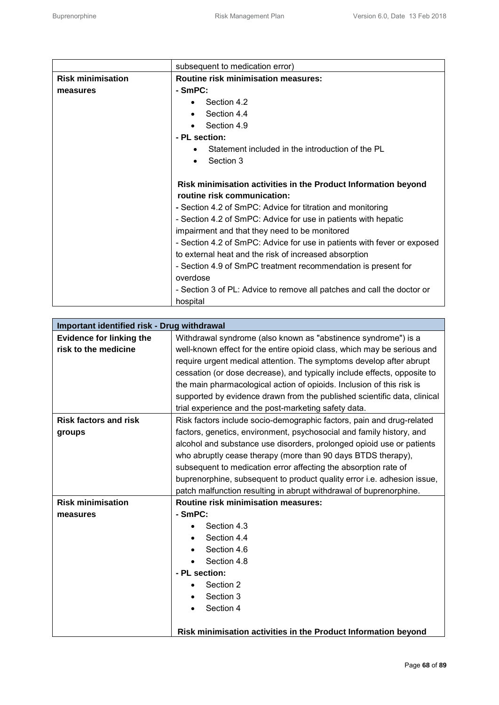|                          | subsequent to medication error)                                                    |
|--------------------------|------------------------------------------------------------------------------------|
| <b>Risk minimisation</b> | <b>Routine risk minimisation measures:</b>                                         |
| measures                 | - SmPC:                                                                            |
|                          | Section 4.2                                                                        |
|                          | Section 4.4                                                                        |
|                          | Section 4.9                                                                        |
|                          | - PL section:                                                                      |
|                          | Statement included in the introduction of the PL                                   |
|                          | Section 3<br>$\bullet$                                                             |
|                          |                                                                                    |
|                          | Risk minimisation activities in the Product Information beyond                     |
|                          | routine risk communication:                                                        |
|                          | - Section 4.2 of SmPC: Advice for titration and monitoring                         |
|                          | - Section 4.2 of SmPC: Advice for use in patients with hepatic                     |
|                          | impairment and that they need to be monitored                                      |
|                          | - Section 4.2 of SmPC: Advice for use in patients with fever or exposed            |
|                          | to external heat and the risk of increased absorption                              |
|                          | - Section 4.9 of SmPC treatment recommendation is present for                      |
|                          | overdose                                                                           |
|                          | - Section 3 of PL: Advice to remove all patches and call the doctor or<br>hospital |

| Important identified risk - Drug withdrawal             |                                                                                                                                                                                                                                                                                                                                                                                                                                                                                                                                                                    |
|---------------------------------------------------------|--------------------------------------------------------------------------------------------------------------------------------------------------------------------------------------------------------------------------------------------------------------------------------------------------------------------------------------------------------------------------------------------------------------------------------------------------------------------------------------------------------------------------------------------------------------------|
| <b>Evidence for linking the</b><br>risk to the medicine | Withdrawal syndrome (also known as "abstinence syndrome") is a<br>well-known effect for the entire opioid class, which may be serious and<br>require urgent medical attention. The symptoms develop after abrupt<br>cessation (or dose decrease), and typically include effects, opposite to<br>the main pharmacological action of opioids. Inclusion of this risk is                                                                                                                                                                                              |
|                                                         | supported by evidence drawn from the published scientific data, clinical                                                                                                                                                                                                                                                                                                                                                                                                                                                                                           |
| <b>Risk factors and risk</b><br>groups                  | trial experience and the post-marketing safety data.<br>Risk factors include socio-demographic factors, pain and drug-related<br>factors, genetics, environment, psychosocial and family history, and<br>alcohol and substance use disorders, prolonged opioid use or patients<br>who abruptly cease therapy (more than 90 days BTDS therapy),<br>subsequent to medication error affecting the absorption rate of<br>buprenorphine, subsequent to product quality error i.e. adhesion issue,<br>patch malfunction resulting in abrupt withdrawal of buprenorphine. |
| <b>Risk minimisation</b>                                | <b>Routine risk minimisation measures:</b>                                                                                                                                                                                                                                                                                                                                                                                                                                                                                                                         |
| measures                                                | - SmPC:<br>Section 4.3<br>Section 4.4<br>Section 4.6<br>Section 4.8<br>- PL section:<br>Section 2<br>Section 3<br>Section 4<br>Risk minimisation activities in the Product Information beyond                                                                                                                                                                                                                                                                                                                                                                      |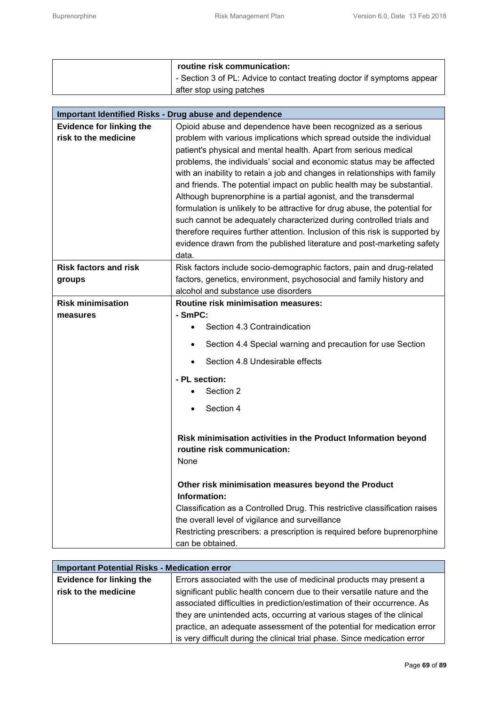| routine risk communication:<br>- Section 3 of PL: Advice to contact treating doctor if symptoms appear |
|--------------------------------------------------------------------------------------------------------|
| after stop using patches                                                                               |

|                                 | Important Identified Risks - Drug abuse and dependence                       |
|---------------------------------|------------------------------------------------------------------------------|
| <b>Evidence for linking the</b> | Opioid abuse and dependence have been recognized as a serious                |
| risk to the medicine            | problem with various implications which spread outside the individual        |
|                                 | patient's physical and mental health. Apart from serious medical             |
|                                 | problems, the individuals' social and economic status may be affected        |
|                                 | with an inability to retain a job and changes in relationships with family   |
|                                 | and friends. The potential impact on public health may be substantial.       |
|                                 | Although buprenorphine is a partial agonist, and the transdermal             |
|                                 | formulation is unlikely to be attractive for drug abuse, the potential for   |
|                                 | such cannot be adequately characterized during controlled trials and         |
|                                 | therefore requires further attention. Inclusion of this risk is supported by |
|                                 | evidence drawn from the published literature and post-marketing safety       |
|                                 | data.                                                                        |
| <b>Risk factors and risk</b>    | Risk factors include socio-demographic factors, pain and drug-related        |
| groups                          | factors, genetics, environment, psychosocial and family history and          |
|                                 | alcohol and substance use disorders                                          |
| <b>Risk minimisation</b>        | <b>Routine risk minimisation measures:</b>                                   |
| measures                        | - SmPC:                                                                      |
|                                 | Section 4.3 Contraindication                                                 |
|                                 | Section 4.4 Special warning and precaution for use Section                   |
|                                 | Section 4.8 Undesirable effects                                              |
|                                 | - PL section:                                                                |
|                                 | Section 2                                                                    |
|                                 |                                                                              |
|                                 | Section 4                                                                    |
|                                 |                                                                              |
|                                 | Risk minimisation activities in the Product Information beyond               |
|                                 | routine risk communication:                                                  |
|                                 | None                                                                         |
|                                 |                                                                              |
|                                 | Other risk minimisation measures beyond the Product                          |
|                                 | Information:                                                                 |
|                                 | Classification as a Controlled Drug. This restrictive classification raises  |
|                                 | the overall level of vigilance and surveillance                              |
|                                 | Restricting prescribers: a prescription is required before buprenorphine     |
|                                 | can be obtained.                                                             |

| <b>Important Potential Risks - Medication error</b> |                                                                           |
|-----------------------------------------------------|---------------------------------------------------------------------------|
| <b>Evidence for linking the</b>                     | Errors associated with the use of medicinal products may present a        |
| risk to the medicine                                | significant public health concern due to their versatile nature and the   |
|                                                     | associated difficulties in prediction/estimation of their occurrence. As  |
|                                                     | they are unintended acts, occurring at various stages of the clinical     |
|                                                     | practice, an adequate assessment of the potential for medication error    |
|                                                     | is very difficult during the clinical trial phase. Since medication error |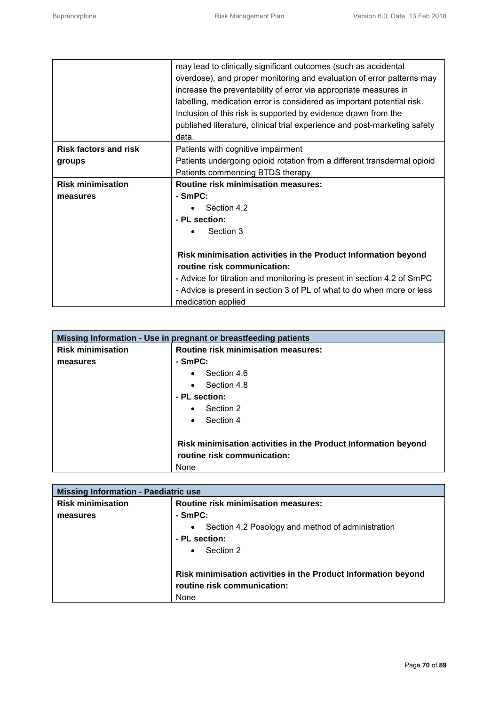|                              | may lead to clinically significant outcomes (such as accidental           |
|------------------------------|---------------------------------------------------------------------------|
|                              | overdose), and proper monitoring and evaluation of error patterns may     |
|                              | increase the preventability of error via appropriate measures in          |
|                              | labelling, medication error is considered as important potential risk.    |
|                              | Inclusion of this risk is supported by evidence drawn from the            |
|                              | published literature, clinical trial experience and post-marketing safety |
|                              | data.                                                                     |
| <b>Risk factors and risk</b> | Patients with cognitive impairment                                        |
| groups                       | Patients undergoing opioid rotation from a different transdermal opioid   |
|                              | Patients commencing BTDS therapy                                          |
| <b>Risk minimisation</b>     | <b>Routine risk minimisation measures:</b>                                |
| measures                     | - SmPC:                                                                   |
|                              | Section 4.2                                                               |
|                              | - PL section:                                                             |
|                              | Section 3                                                                 |
|                              |                                                                           |
|                              | Risk minimisation activities in the Product Information beyond            |
|                              | routine risk communication:                                               |
|                              | - Advice for titration and monitoring is present in section 4.2 of SmPC   |
|                              | - Advice is present in section 3 of PL of what to do when more or less    |
|                              | medication applied                                                        |

| Missing Information - Use in pregnant or breastfeeding patients |                                                                |
|-----------------------------------------------------------------|----------------------------------------------------------------|
| <b>Risk minimisation</b>                                        | Routine risk minimisation measures:                            |
| measures                                                        | - SmPC:                                                        |
|                                                                 | Section 4.6<br>$\bullet$                                       |
|                                                                 | Section 4.8                                                    |
|                                                                 | - PL section:                                                  |
|                                                                 | Section 2<br>$\bullet$                                         |
|                                                                 | Section 4<br>$\bullet$                                         |
|                                                                 |                                                                |
|                                                                 | Risk minimisation activities in the Product Information beyond |
|                                                                 | routine risk communication:                                    |
|                                                                 | None                                                           |

| <b>Missing Information - Paediatric use</b> |                                                                |
|---------------------------------------------|----------------------------------------------------------------|
| <b>Risk minimisation</b>                    | Routine risk minimisation measures:                            |
| measures                                    | - SmPC:                                                        |
|                                             | Section 4.2 Posology and method of administration              |
|                                             | - PL section:                                                  |
|                                             | Section 2<br>$\bullet$                                         |
|                                             |                                                                |
|                                             | Risk minimisation activities in the Product Information beyond |
|                                             | routine risk communication:                                    |
|                                             | None                                                           |